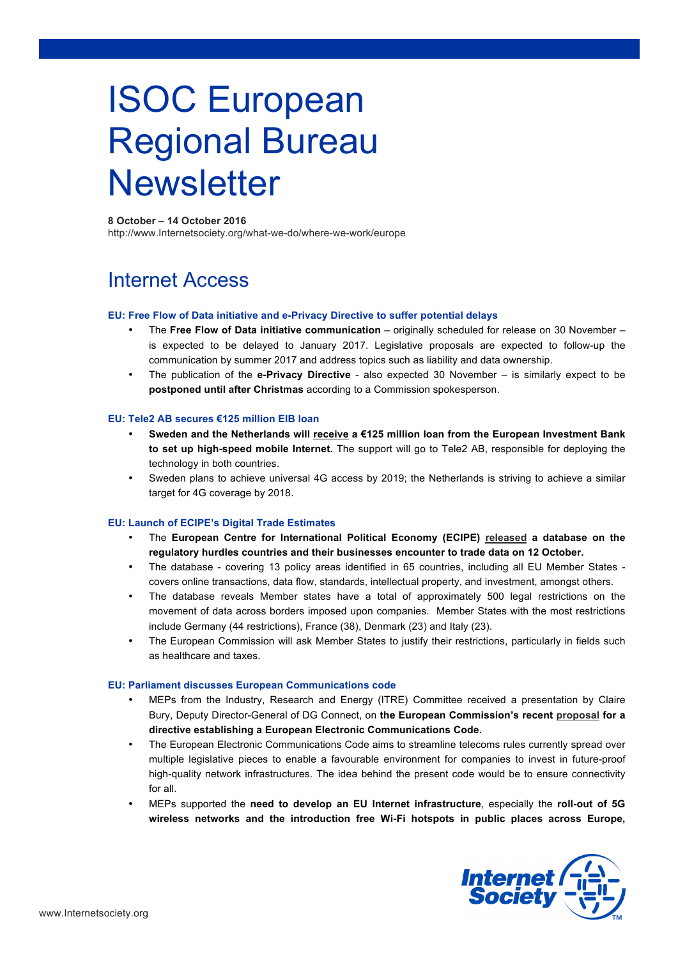# ISOC European Regional Bureau **Newsletter**

# **8 October – 14 October 2016**

http://www.Internetsociety.org/what-we-do/where-we-work/europe

# Internet Access

# **EU: Free Flow of Data initiative and e-Privacy Directive to suffer potential delays**

- The **Free Flow of Data initiative communication**  originally scheduled for release on 30 November is expected to be delayed to January 2017. Legislative proposals are expected to follow-up the communication by summer 2017 and address topics such as liability and data ownership.
- The publication of the **e-Privacy Directive** also expected 30 November is similarly expect to be **postponed until after Christmas** according to a Commission spokesperson.

# **EU: Tele2 AB secures €125 million EIB loan**

- **Sweden and the Netherlands will receive a €125 million loan from the European Investment Bank to set up high-speed mobile Internet.** The support will go to Tele2 AB, responsible for deploying the technology in both countries.
- Sweden plans to achieve universal 4G access by 2019; the Netherlands is striving to achieve a similar target for 4G coverage by 2018.

# **EU: Launch of ECIPE's Digital Trade Estimates**

- The **European Centre for International Political Economy (ECIPE) released a database on the regulatory hurdles countries and their businesses encounter to trade data on 12 October.**
- The database covering 13 policy areas identified in 65 countries, including all EU Member States covers online transactions, data flow, standards, intellectual property, and investment, amongst others.
- The database reveals Member states have a total of approximately 500 legal restrictions on the movement of data across borders imposed upon companies. Member States with the most restrictions include Germany (44 restrictions), France (38), Denmark (23) and Italy (23).
- The European Commission will ask Member States to justify their restrictions, particularly in fields such as healthcare and taxes.

# **EU: Parliament discusses European Communications code**

- MEPs from the Industry, Research and Energy (ITRE) Committee received a presentation by Claire Bury, Deputy Director-General of DG Connect, on **the European Commission's recent proposal for a directive establishing a European Electronic Communications Code.**
- The European Electronic Communications Code aims to streamline telecoms rules currently spread over multiple legislative pieces to enable a favourable environment for companies to invest in future-proof high-quality network infrastructures. The idea behind the present code would be to ensure connectivity for all.
- MEPs supported the **need to develop an EU Internet infrastructure**, especially the **roll-out of 5G wireless networks and the introduction free Wi-Fi hotspots in public places across Europe,**

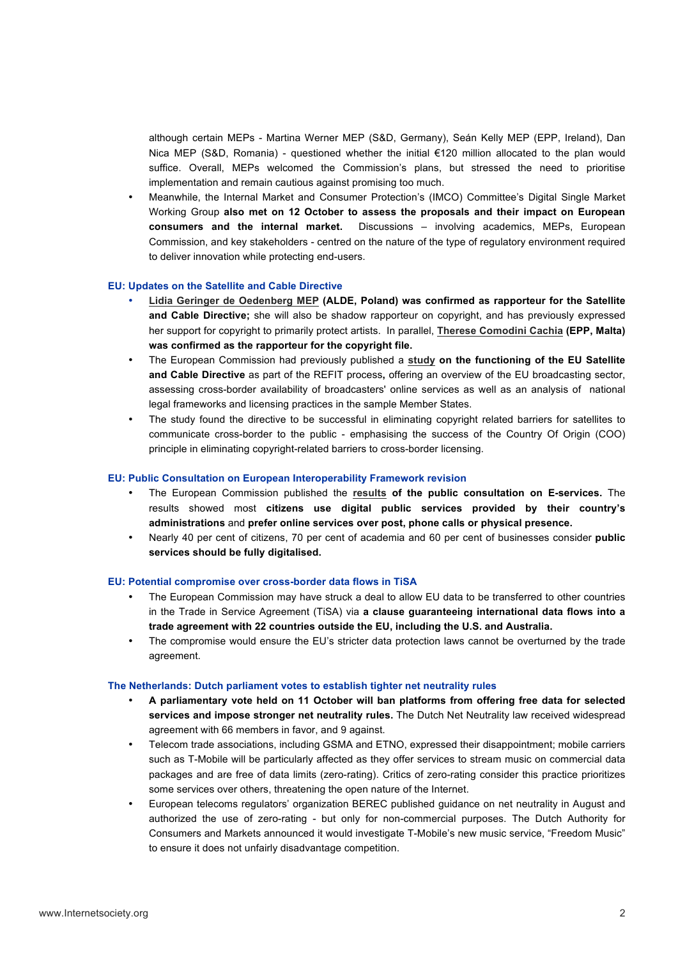although certain MEPs - Martina Werner MEP (S&D, Germany), Seán Kelly MEP (EPP, Ireland), Dan Nica MEP (S&D, Romania) - questioned whether the initial €120 million allocated to the plan would suffice. Overall, MEPs welcomed the Commission's plans, but stressed the need to prioritise implementation and remain cautious against promising too much.

• Meanwhile, the Internal Market and Consumer Protection's (IMCO) Committee's Digital Single Market Working Group **also met on 12 October to assess the proposals and their impact on European consumers and the internal market.** Discussions – involving academics, MEPs, European Commission, and key stakeholders - centred on the nature of the type of regulatory environment required to deliver innovation while protecting end-users.

#### **EU: Updates on the Satellite and Cable Directive**

- **Lidia Geringer de Oedenberg MEP (ALDE, Poland) was confirmed as rapporteur for the Satellite and Cable Directive;** she will also be shadow rapporteur on copyright, and has previously expressed her support for copyright to primarily protect artists. In parallel, **Therese Comodini Cachia (EPP, Malta) was confirmed as the rapporteur for the copyright file.**
- The European Commission had previously published a **study on the functioning of the EU Satellite and Cable Directive** as part of the REFIT process**,** offering an overview of the EU broadcasting sector, assessing cross-border availability of broadcasters' online services as well as an analysis of national legal frameworks and licensing practices in the sample Member States.
- The study found the directive to be successful in eliminating copyright related barriers for satellites to communicate cross-border to the public - emphasising the success of the Country Of Origin (COO) principle in eliminating copyright-related barriers to cross-border licensing.

#### **EU: Public Consultation on European Interoperability Framework revision**

- The European Commission published the **results of the public consultation on E-services.** The results showed most **citizens use digital public services provided by their country's administrations** and **prefer online services over post, phone calls or physical presence.**
- Nearly 40 per cent of citizens, 70 per cent of academia and 60 per cent of businesses consider **public services should be fully digitalised.**

#### **EU: Potential compromise over cross-border data flows in TiSA**

- The European Commission may have struck a deal to allow EU data to be transferred to other countries in the Trade in Service Agreement (TiSA) via **a clause guaranteeing international data flows into a trade agreement with 22 countries outside the EU, including the U.S. and Australia.**
- The compromise would ensure the EU's stricter data protection laws cannot be overturned by the trade agreement.

#### **The Netherlands: Dutch parliament votes to establish tighter net neutrality rules**

- **A parliamentary vote held on 11 October will ban platforms from offering free data for selected services and impose stronger net neutrality rules.** The Dutch Net Neutrality law received widespread agreement with 66 members in favor, and 9 against.
- Telecom trade associations, including GSMA and ETNO, expressed their disappointment; mobile carriers such as T-Mobile will be particularly affected as they offer services to stream music on commercial data packages and are free of data limits (zero-rating). Critics of zero-rating consider this practice prioritizes some services over others, threatening the open nature of the Internet.
- European telecoms regulators' organization BEREC published guidance on net neutrality in August and authorized the use of zero-rating - but only for non-commercial purposes. The Dutch Authority for Consumers and Markets announced it would investigate T-Mobile's new music service, "Freedom Music" to ensure it does not unfairly disadvantage competition.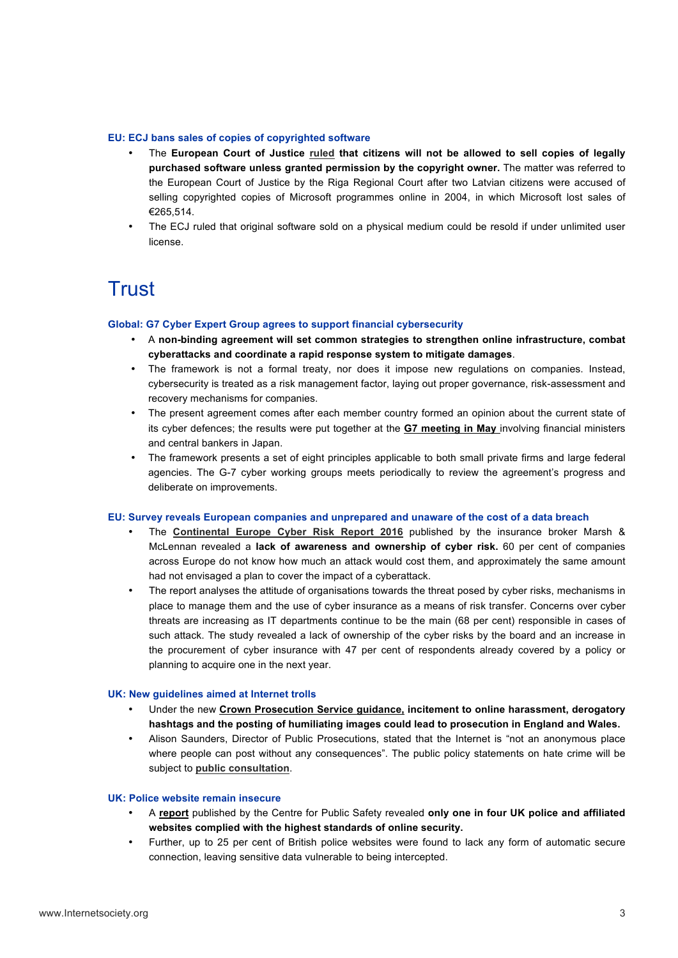# **EU: ECJ bans sales of copies of copyrighted software**

- The **European Court of Justice ruled that citizens will not be allowed to sell copies of legally purchased software unless granted permission by the copyright owner.** The matter was referred to the European Court of Justice by the Riga Regional Court after two Latvian citizens were accused of selling copyrighted copies of Microsoft programmes online in 2004, in which Microsoft lost sales of €265,514.
- The ECJ ruled that original software sold on a physical medium could be resold if under unlimited user license.

# **Trust**

# **Global: G7 Cyber Expert Group agrees to support financial cybersecurity**

- A **non-binding agreement will set common strategies to strengthen online infrastructure, combat cyberattacks and coordinate a rapid response system to mitigate damages**.
- The framework is not a formal treaty, nor does it impose new regulations on companies. Instead, cybersecurity is treated as a risk management factor, laying out proper governance, risk-assessment and recovery mechanisms for companies.
- The present agreement comes after each member country formed an opinion about the current state of its cyber defences; the results were put together at the **G7 meeting in May** involving financial ministers and central bankers in Japan.
- The framework presents a set of eight principles applicable to both small private firms and large federal agencies. The G-7 cyber working groups meets periodically to review the agreement's progress and deliberate on improvements.

# **EU: Survey reveals European companies and unprepared and unaware of the cost of a data breach**

- The **Continental Europe Cyber Risk Report 2016** published by the insurance broker Marsh & McLennan revealed a **lack of awareness and ownership of cyber risk.** 60 per cent of companies across Europe do not know how much an attack would cost them, and approximately the same amount had not envisaged a plan to cover the impact of a cyberattack.
- The report analyses the attitude of organisations towards the threat posed by cyber risks, mechanisms in place to manage them and the use of cyber insurance as a means of risk transfer. Concerns over cyber threats are increasing as IT departments continue to be the main (68 per cent) responsible in cases of such attack. The study revealed a lack of ownership of the cyber risks by the board and an increase in the procurement of cyber insurance with 47 per cent of respondents already covered by a policy or planning to acquire one in the next year.

# **UK: New guidelines aimed at Internet trolls**

- Under the new **Crown Prosecution Service guidance, incitement to online harassment, derogatory hashtags and the posting of humiliating images could lead to prosecution in England and Wales.**
- Alison Saunders, Director of Public Prosecutions, stated that the Internet is "not an anonymous place where people can post without any consequences". The public policy statements on hate crime will be subject to **public consultation**.

# **UK: Police website remain insecure**

- A **report** published by the Centre for Public Safety revealed **only one in four UK police and affiliated websites complied with the highest standards of online security.**
- Further, up to 25 per cent of British police websites were found to lack any form of automatic secure connection, leaving sensitive data vulnerable to being intercepted.